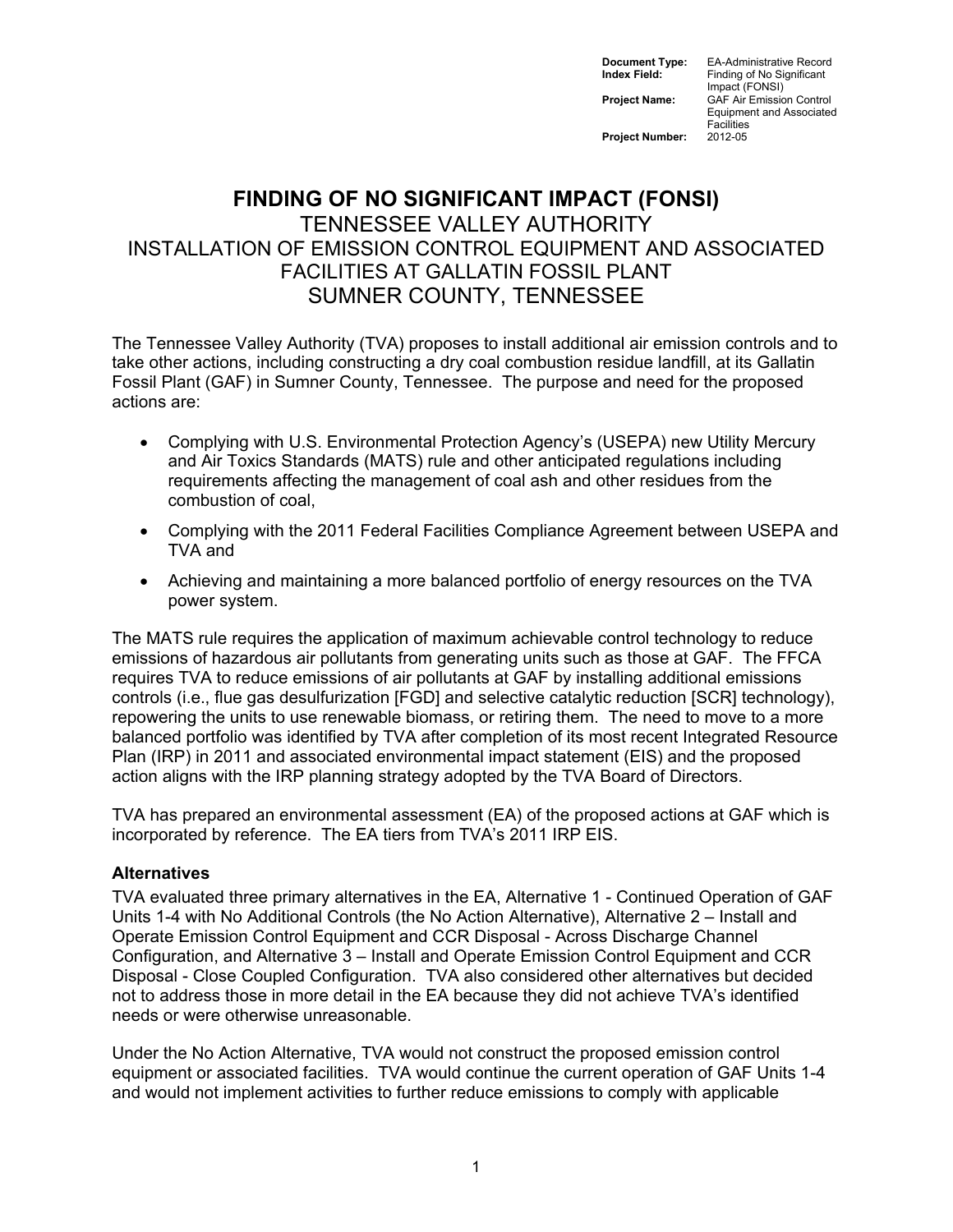**Document Type:** EA-Administrative Record<br> **Index Field:** Finding of No Significant **Finding of No Significant** Impact (FONSI) **Project Name:** GAF Air Emission Control Equipment and Associated Facilities<br>2012-05

**Project Number:** 

# **FINDING OF NO SIGNIFICANT IMPACT (FONSI)**  TENNESSEE VALLEY AUTHORITY INSTALLATION OF EMISSION CONTROL EQUIPMENT AND ASSOCIATED FACILITIES AT GALLATIN FOSSIL PLANT SUMNER COUNTY, TENNESSEE

The Tennessee Valley Authority (TVA) proposes to install additional air emission controls and to take other actions, including constructing a dry coal combustion residue landfill, at its Gallatin Fossil Plant (GAF) in Sumner County, Tennessee. The purpose and need for the proposed actions are:

- Complying with U.S. Environmental Protection Agency's (USEPA) new Utility Mercury and Air Toxics Standards (MATS) rule and other anticipated regulations including requirements affecting the management of coal ash and other residues from the combustion of coal,
- Complying with the 2011 Federal Facilities Compliance Agreement between USEPA and TVA and
- Achieving and maintaining a more balanced portfolio of energy resources on the TVA power system.

The MATS rule requires the application of maximum achievable control technology to reduce emissions of hazardous air pollutants from generating units such as those at GAF. The FFCA requires TVA to reduce emissions of air pollutants at GAF by installing additional emissions controls (i.e., flue gas desulfurization [FGD] and selective catalytic reduction [SCR] technology), repowering the units to use renewable biomass, or retiring them. The need to move to a more balanced portfolio was identified by TVA after completion of its most recent Integrated Resource Plan (IRP) in 2011 and associated environmental impact statement (EIS) and the proposed action aligns with the IRP planning strategy adopted by the TVA Board of Directors.

TVA has prepared an environmental assessment (EA) of the proposed actions at GAF which is incorporated by reference. The EA tiers from TVA's 2011 IRP EIS.

## **Alternatives**

TVA evaluated three primary alternatives in the EA, Alternative 1 - Continued Operation of GAF Units 1-4 with No Additional Controls (the No Action Alternative), Alternative 2 – Install and Operate Emission Control Equipment and CCR Disposal - Across Discharge Channel Configuration, and Alternative 3 – Install and Operate Emission Control Equipment and CCR Disposal - Close Coupled Configuration. TVA also considered other alternatives but decided not to address those in more detail in the EA because they did not achieve TVA's identified needs or were otherwise unreasonable.

Under the No Action Alternative, TVA would not construct the proposed emission control equipment or associated facilities. TVA would continue the current operation of GAF Units 1-4 and would not implement activities to further reduce emissions to comply with applicable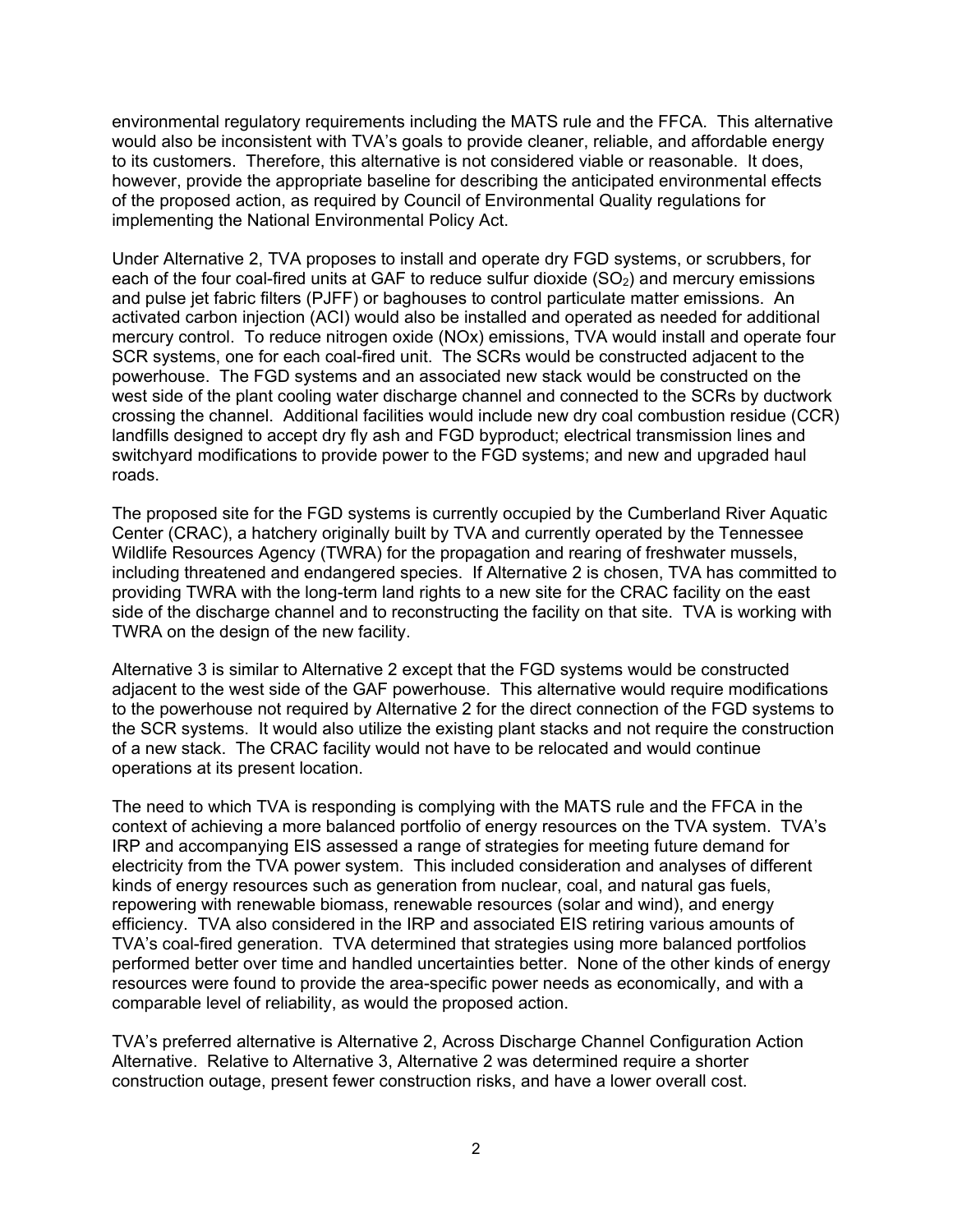environmental regulatory requirements including the MATS rule and the FFCA. This alternative would also be inconsistent with TVA's goals to provide cleaner, reliable, and affordable energy to its customers. Therefore, this alternative is not considered viable or reasonable. It does, however, provide the appropriate baseline for describing the anticipated environmental effects of the proposed action, as required by Council of Environmental Quality regulations for implementing the National Environmental Policy Act.

Under Alternative 2, TVA proposes to install and operate dry FGD systems, or scrubbers, for each of the four coal-fired units at GAF to reduce sulfur dioxide  $(SO<sub>2</sub>)$  and mercury emissions and pulse jet fabric filters (PJFF) or baghouses to control particulate matter emissions. An activated carbon injection (ACI) would also be installed and operated as needed for additional mercury control. To reduce nitrogen oxide (NOx) emissions, TVA would install and operate four SCR systems, one for each coal-fired unit. The SCRs would be constructed adjacent to the powerhouse. The FGD systems and an associated new stack would be constructed on the west side of the plant cooling water discharge channel and connected to the SCRs by ductwork crossing the channel. Additional facilities would include new dry coal combustion residue (CCR) landfills designed to accept dry fly ash and FGD byproduct; electrical transmission lines and switchyard modifications to provide power to the FGD systems; and new and upgraded haul roads.

The proposed site for the FGD systems is currently occupied by the Cumberland River Aquatic Center (CRAC), a hatchery originally built by TVA and currently operated by the Tennessee Wildlife Resources Agency (TWRA) for the propagation and rearing of freshwater mussels, including threatened and endangered species. If Alternative 2 is chosen, TVA has committed to providing TWRA with the long-term land rights to a new site for the CRAC facility on the east side of the discharge channel and to reconstructing the facility on that site. TVA is working with TWRA on the design of the new facility.

Alternative 3 is similar to Alternative 2 except that the FGD systems would be constructed adjacent to the west side of the GAF powerhouse. This alternative would require modifications to the powerhouse not required by Alternative 2 for the direct connection of the FGD systems to the SCR systems. It would also utilize the existing plant stacks and not require the construction of a new stack. The CRAC facility would not have to be relocated and would continue operations at its present location.

The need to which TVA is responding is complying with the MATS rule and the FFCA in the context of achieving a more balanced portfolio of energy resources on the TVA system. TVA's IRP and accompanying EIS assessed a range of strategies for meeting future demand for electricity from the TVA power system. This included consideration and analyses of different kinds of energy resources such as generation from nuclear, coal, and natural gas fuels, repowering with renewable biomass, renewable resources (solar and wind), and energy efficiency. TVA also considered in the IRP and associated EIS retiring various amounts of TVA's coal-fired generation. TVA determined that strategies using more balanced portfolios performed better over time and handled uncertainties better. None of the other kinds of energy resources were found to provide the area-specific power needs as economically, and with a comparable level of reliability, as would the proposed action.

TVA's preferred alternative is Alternative 2, Across Discharge Channel Configuration Action Alternative. Relative to Alternative 3, Alternative 2 was determined require a shorter construction outage, present fewer construction risks, and have a lower overall cost.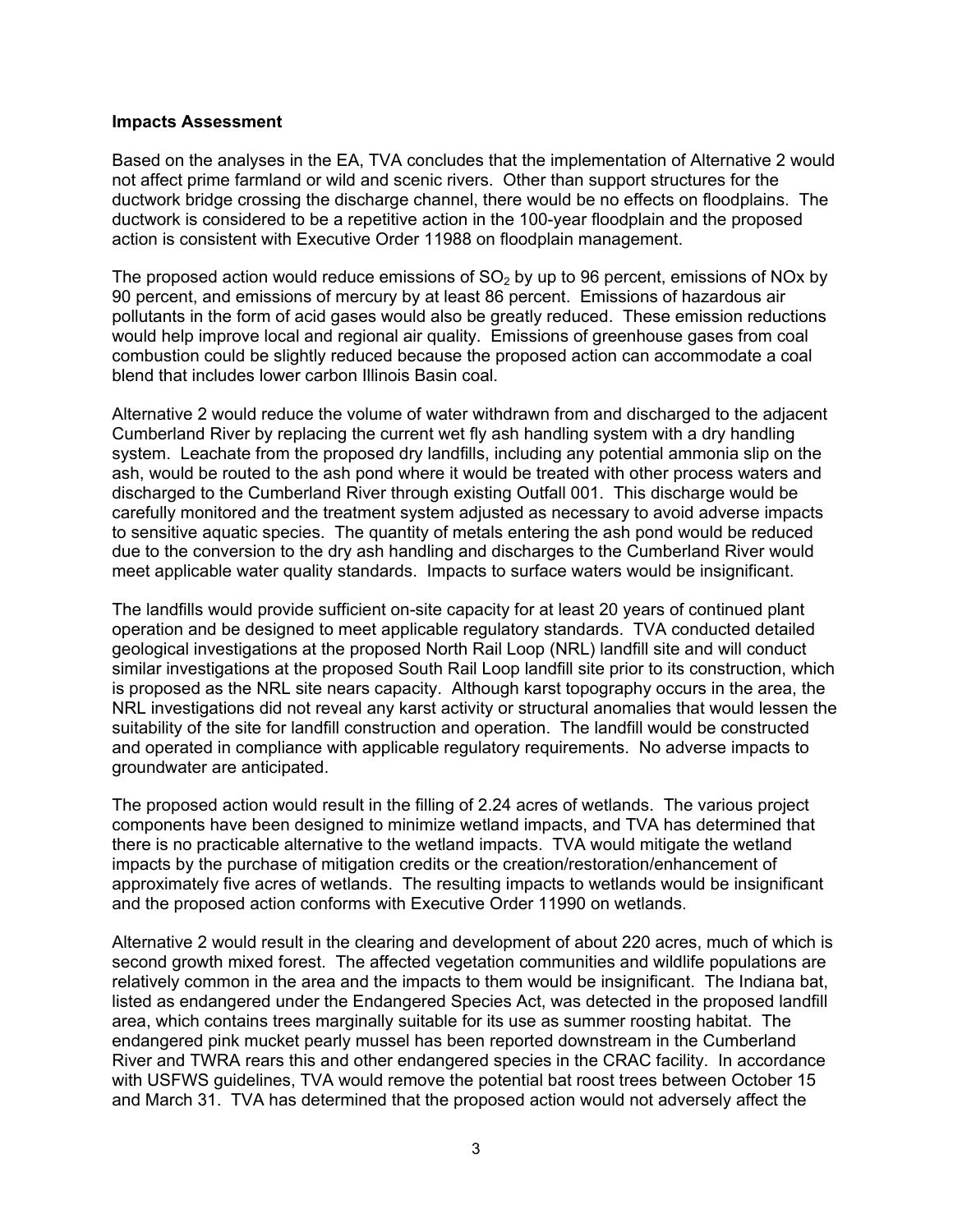### **Impacts Assessment**

Based on the analyses in the EA, TVA concludes that the implementation of Alternative 2 would not affect prime farmland or wild and scenic rivers. Other than support structures for the ductwork bridge crossing the discharge channel, there would be no effects on floodplains. The ductwork is considered to be a repetitive action in the 100-year floodplain and the proposed action is consistent with Executive Order 11988 on floodplain management.

The proposed action would reduce emissions of  $SO<sub>2</sub>$  by up to 96 percent, emissions of NOx by 90 percent, and emissions of mercury by at least 86 percent. Emissions of hazardous air pollutants in the form of acid gases would also be greatly reduced. These emission reductions would help improve local and regional air quality. Emissions of greenhouse gases from coal combustion could be slightly reduced because the proposed action can accommodate a coal blend that includes lower carbon Illinois Basin coal.

Alternative 2 would reduce the volume of water withdrawn from and discharged to the adjacent Cumberland River by replacing the current wet fly ash handling system with a dry handling system. Leachate from the proposed dry landfills, including any potential ammonia slip on the ash, would be routed to the ash pond where it would be treated with other process waters and discharged to the Cumberland River through existing Outfall 001. This discharge would be carefully monitored and the treatment system adjusted as necessary to avoid adverse impacts to sensitive aquatic species. The quantity of metals entering the ash pond would be reduced due to the conversion to the dry ash handling and discharges to the Cumberland River would meet applicable water quality standards. Impacts to surface waters would be insignificant.

The landfills would provide sufficient on-site capacity for at least 20 years of continued plant operation and be designed to meet applicable regulatory standards. TVA conducted detailed geological investigations at the proposed North Rail Loop (NRL) landfill site and will conduct similar investigations at the proposed South Rail Loop landfill site prior to its construction, which is proposed as the NRL site nears capacity. Although karst topography occurs in the area, the NRL investigations did not reveal any karst activity or structural anomalies that would lessen the suitability of the site for landfill construction and operation. The landfill would be constructed and operated in compliance with applicable regulatory requirements. No adverse impacts to groundwater are anticipated.

The proposed action would result in the filling of 2.24 acres of wetlands. The various project components have been designed to minimize wetland impacts, and TVA has determined that there is no practicable alternative to the wetland impacts. TVA would mitigate the wetland impacts by the purchase of mitigation credits or the creation/restoration/enhancement of approximately five acres of wetlands. The resulting impacts to wetlands would be insignificant and the proposed action conforms with Executive Order 11990 on wetlands.

Alternative 2 would result in the clearing and development of about 220 acres, much of which is second growth mixed forest. The affected vegetation communities and wildlife populations are relatively common in the area and the impacts to them would be insignificant. The Indiana bat, listed as endangered under the Endangered Species Act, was detected in the proposed landfill area, which contains trees marginally suitable for its use as summer roosting habitat. The endangered pink mucket pearly mussel has been reported downstream in the Cumberland River and TWRA rears this and other endangered species in the CRAC facility. In accordance with USFWS guidelines, TVA would remove the potential bat roost trees between October 15 and March 31. TVA has determined that the proposed action would not adversely affect the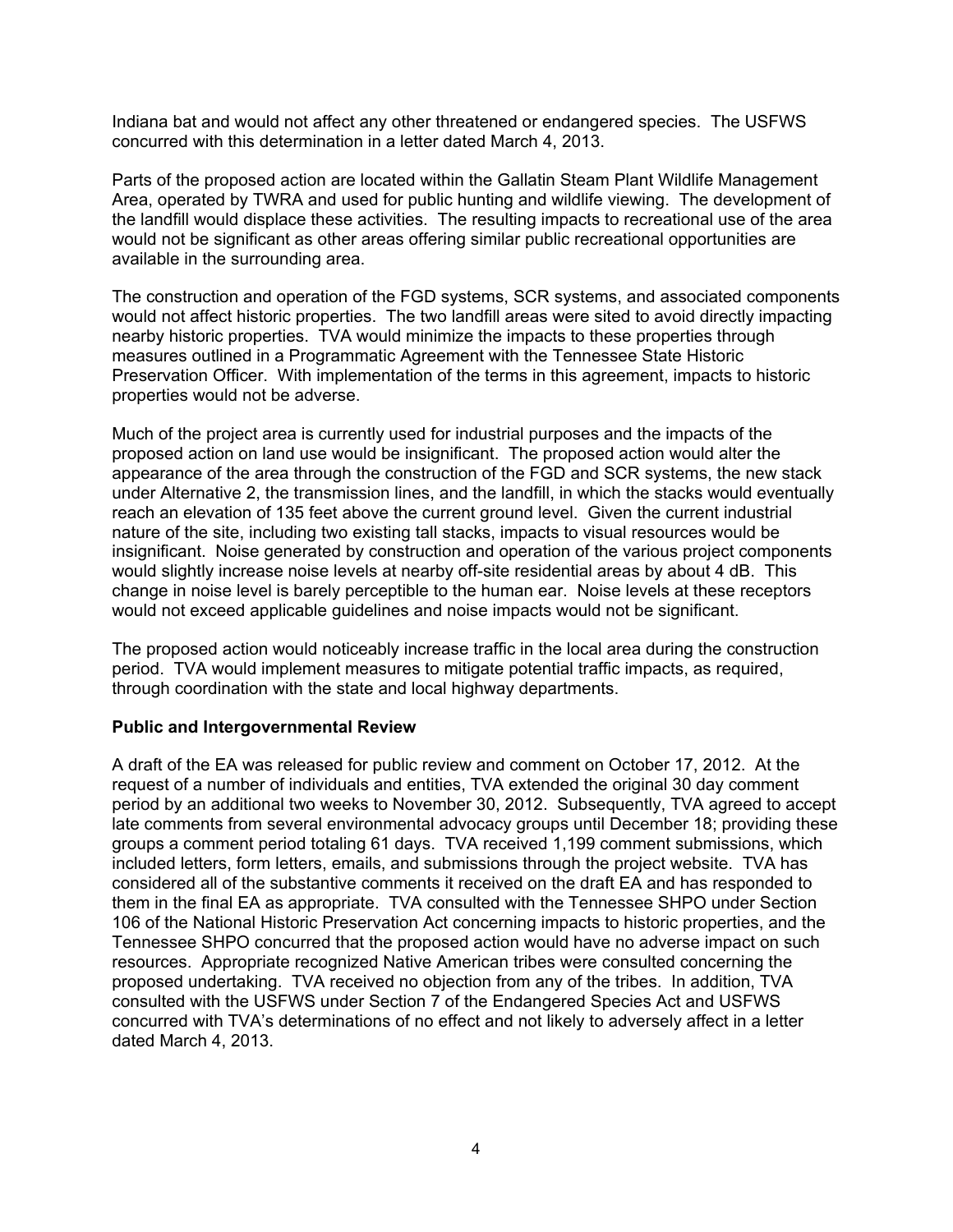Indiana bat and would not affect any other threatened or endangered species. The USFWS concurred with this determination in a letter dated March 4, 2013.

Parts of the proposed action are located within the Gallatin Steam Plant Wildlife Management Area, operated by TWRA and used for public hunting and wildlife viewing. The development of the landfill would displace these activities. The resulting impacts to recreational use of the area would not be significant as other areas offering similar public recreational opportunities are available in the surrounding area.

The construction and operation of the FGD systems, SCR systems, and associated components would not affect historic properties. The two landfill areas were sited to avoid directly impacting nearby historic properties. TVA would minimize the impacts to these properties through measures outlined in a Programmatic Agreement with the Tennessee State Historic Preservation Officer. With implementation of the terms in this agreement, impacts to historic properties would not be adverse.

Much of the project area is currently used for industrial purposes and the impacts of the proposed action on land use would be insignificant. The proposed action would alter the appearance of the area through the construction of the FGD and SCR systems, the new stack under Alternative 2, the transmission lines, and the landfill, in which the stacks would eventually reach an elevation of 135 feet above the current ground level. Given the current industrial nature of the site, including two existing tall stacks, impacts to visual resources would be insignificant. Noise generated by construction and operation of the various project components would slightly increase noise levels at nearby off-site residential areas by about 4 dB. This change in noise level is barely perceptible to the human ear. Noise levels at these receptors would not exceed applicable guidelines and noise impacts would not be significant.

The proposed action would noticeably increase traffic in the local area during the construction period. TVA would implement measures to mitigate potential traffic impacts, as required, through coordination with the state and local highway departments.

### **Public and Intergovernmental Review**

A draft of the EA was released for public review and comment on October 17, 2012. At the request of a number of individuals and entities, TVA extended the original 30 day comment period by an additional two weeks to November 30, 2012. Subsequently, TVA agreed to accept late comments from several environmental advocacy groups until December 18; providing these groups a comment period totaling 61 days. TVA received 1,199 comment submissions, which included letters, form letters, emails, and submissions through the project website. TVA has considered all of the substantive comments it received on the draft EA and has responded to them in the final EA as appropriate. TVA consulted with the Tennessee SHPO under Section 106 of the National Historic Preservation Act concerning impacts to historic properties, and the Tennessee SHPO concurred that the proposed action would have no adverse impact on such resources. Appropriate recognized Native American tribes were consulted concerning the proposed undertaking. TVA received no objection from any of the tribes. In addition, TVA consulted with the USFWS under Section 7 of the Endangered Species Act and USFWS concurred with TVA's determinations of no effect and not likely to adversely affect in a letter dated March 4, 2013.